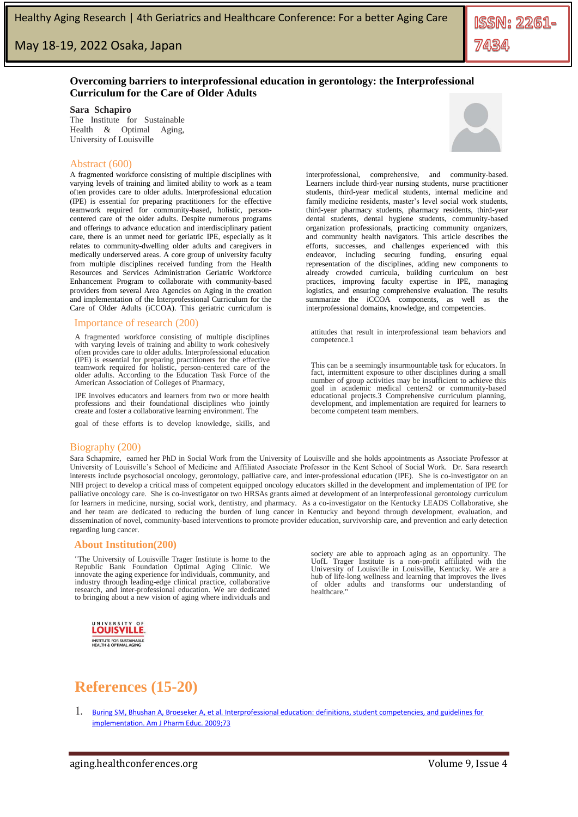### May 18-19, 2022 Osaka, Japan

#### **Overcoming barriers to interprofessional education in gerontology: the Interprofessional Curriculum for the Care of Older Adults**

#### **Sara Schapiro**

The Institute for Sustainable Health & Optimal Aging, University of Louisville

#### Abstract (600)

A fragmented workforce consisting of multiple disciplines with varying levels of training and limited ability to work as a team often provides care to older adults. Interprofessional education (IPE) is essential for preparing practitioners for the effective teamwork required for community-based, holistic, personcentered care of the older adults. Despite numerous programs and offerings to advance education and interdisciplinary patient care, there is an unmet need for geriatric IPE, especially as it relates to community-dwelling older adults and caregivers in medically underserved areas. A core group of university faculty from multiple disciplines received funding from the Health Resources and Services Administration Geriatric Workforce Enhancement Program to collaborate with community-based providers from several Area Agencies on Aging in the creation and implementation of the Interprofessional Curriculum for the Care of Older Adults (iCCOA). This geriatric curriculum is

#### Importance of research (200)

A fragmented workforce consisting of multiple disciplines with varying levels of training and ability to work cohesively often provides care to older adults. Interprofessional education (IPE) is essential for preparing practitioners for the effective teamwork required for holistic, person-centered care of the older adults. According to the Education Task Force of the American Association of Colleges of Pharmacy,

IPE involves educators and learners from two or more health professions and their foundational disciplines who jointly create and foster a collaborative learning environment. The

goal of these efforts is to develop knowledge, skills, and

interprofessional, comprehensive, and community-based. Learners include third-year nursing students, nurse practitioner students, third-year medical students, internal medicine and family medicine residents, master's level social work students, third-year pharmacy students, pharmacy residents, third-year dental students, dental hygiene students, community-based organization professionals, practicing community organizers, and community health navigators. This article describes the efforts, successes, and challenges experienced with this endeavor, including securing funding, ensuring equal representation of the disciplines, adding new components to already crowded curricula, building curriculum on best practices, improving faculty expertise in IPE, managing logistics, and ensuring comprehensive evaluation. The results summarize the iCCOA components, as well as interprofessional domains, knowledge, and competencies.

attitudes that result in interprofessional team behaviors and competence.1

This can be a seemingly insurmountable task for educators. In fact, intermittent exposure to other disciplines during a small number of group activities may be insufficient to achieve this goal in academic medical centers2 or community-based educational projects.3 Comprehensive curriculum planning, development, and implementation are required for learners to become competent team members.

#### Biography (200)

Sara Schapmire, earned her PhD in Social Work from the University of Louisville and she holds appointments as Associate Professor at University of Louisville's School of Medicine and Affiliated Associate Professor in the Kent School of Social Work. Dr. Sara research interests include psychosocial oncology, gerontology, palliative care, and inter-professional education (IPE). She is co-investigator on an NIH project to develop a critical mass of competent equipped oncology educators skilled in the development and implementation of IPE for palliative oncology care. She is co-investigator on two HRSAs grants aimed at development of an interprofessional gerontology curriculum for learners in medicine, nursing, social work, dentistry, and pharmacy. As a co-investigator on the Kentucky LEADS Collaborative, she and her team are dedicated to reducing the burden of lung cancer in Kentucky and beyond through development, evaluation, and dissemination of novel, community-based interventions to promote provider education, survivorship care, and prevention and early detection regarding lung cancer.

#### **About Institution(200)**

"The University of Louisville Trager Institute is home to the Republic Bank Foundation Optimal Aging Clinic. We innovate the aging experience for individuals, community, and industry through leading-edge clinical practice, collaborative research, and inter-professional education. We are dedicated to bringing about a new vision of aging where individuals and

society are able to approach aging as an opportunity. The UofL Trager Institute is a non-profit affiliated with the University of Louisville in Louisville, Kentucky. We are a hub of life-long wellness and learning that improves the lives of older adults and transforms our understanding of healthcare.



INSTITUTE FOR SUSTAINABLE

# **References (15-20)**

1. [Buring SM, Bhushan A, Broeseker A, et al. Interprofessional education: definitions, student competencies, and guidelines for](https://dx.doi.org/10.5688%2Faj730459)  [implementation. Am J Pharm Educ. 2009;73](https://dx.doi.org/10.5688%2Faj730459)